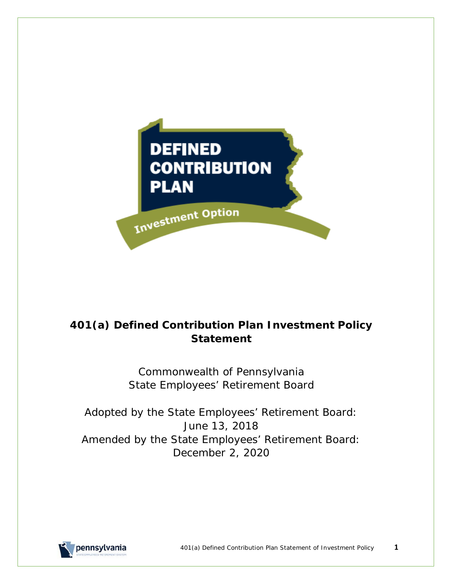

# **401(a) Defined Contribution Plan Investment Policy Statement**

Commonwealth of Pennsylvania State Employees' Retirement Board

Adopted by the State Employees' Retirement Board: June 13, 2018 Amended by the State Employees' Retirement Board: December 2, 2020

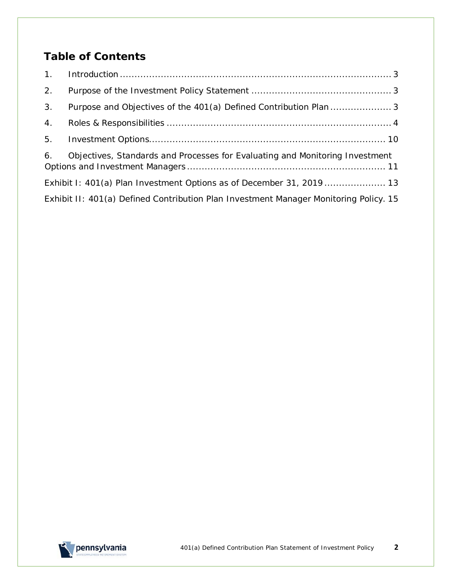# **Table of Contents**

| 2.             |                                                                                       |
|----------------|---------------------------------------------------------------------------------------|
| 3 <sub>1</sub> |                                                                                       |
| 4.             |                                                                                       |
| 5.             |                                                                                       |
| 6.             | Objectives, Standards and Processes for Evaluating and Monitoring Investment          |
|                | Exhibit I: 401(a) Plan Investment Options as of December 31, 2019  13                 |
|                | Exhibit II: 401(a) Defined Contribution Plan Investment Manager Monitoring Policy. 15 |

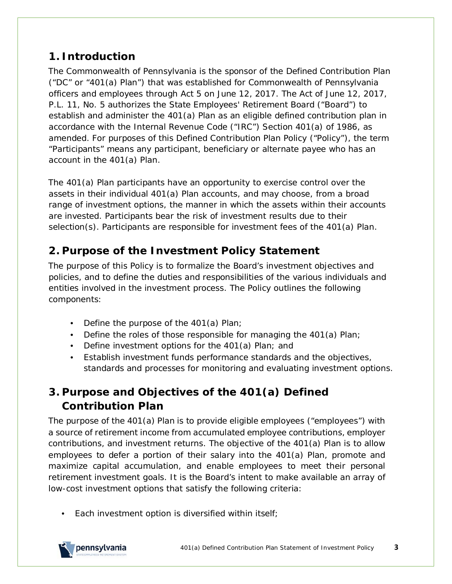# <span id="page-2-0"></span>**1. Introduction**

The Commonwealth of Pennsylvania is the sponsor of the Defined Contribution Plan ("DC" or "401(a) Plan") that was established for Commonwealth of Pennsylvania officers and employees through Act 5 on June 12, 2017. The Act of June 12, 2017, P.L. 11, No. 5 authorizes the State Employees' Retirement Board ("Board") to establish and administer the 401(a) Plan as an eligible defined contribution plan in accordance with the Internal Revenue Code ("IRC") Section 401(a) of 1986, as amended. For purposes of this Defined Contribution Plan Policy ("Policy"), the term "Participants" means any participant, beneficiary or alternate payee who has an account in the 401(a) Plan.

The 401(a) Plan participants have an opportunity to exercise control over the assets in their individual 401(a) Plan accounts, and may choose, from a broad range of investment options, the manner in which the assets within their accounts are invested. Participants bear the risk of investment results due to their selection(s). Participants are responsible for investment fees of the 401(a) Plan.

# <span id="page-2-1"></span>**2. Purpose of the Investment Policy Statement**

The purpose of this Policy is to formalize the Board's investment objectives and policies, and to define the duties and responsibilities of the various individuals and entities involved in the investment process. The Policy outlines the following components:

- Define the purpose of the 401(a) Plan;
- Define the roles of those responsible for managing the 401(a) Plan;
- Define investment options for the 401(a) Plan; and
- Establish investment funds performance standards and the objectives, standards and processes for monitoring and evaluating investment options.

# <span id="page-2-2"></span>**3. Purpose and Objectives of the 401(a) Defined Contribution Plan**

The purpose of the 401(a) Plan is to provide eligible employees ("employees") with a source of retirement income from accumulated employee contributions, employer contributions, and investment returns. The objective of the 401(a) Plan is to allow employees to defer a portion of their salary into the 401(a) Plan, promote and maximize capital accumulation, and enable employees to meet their personal retirement investment goals. It is the Board's intent to make available an array of low-cost investment options that satisfy the following criteria:

• Each investment option is diversified within itself;

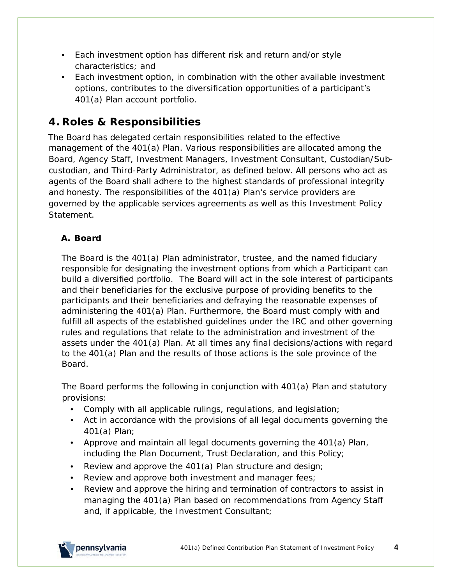- Each investment option has different risk and return and/or style characteristics; and
- Each investment option, in combination with the other available investment options, contributes to the diversification opportunities of a participant's 401(a) Plan account portfolio.

# <span id="page-3-0"></span>**4. Roles & Responsibilities**

The Board has delegated certain responsibilities related to the effective management of the 401(a) Plan. Various responsibilities are allocated among the Board, Agency Staff, Investment Managers, Investment Consultant, Custodian/Subcustodian, and Third-Party Administrator, as defined below. All persons who act as agents of the Board shall adhere to the highest standards of professional integrity and honesty. The responsibilities of the 401(a) Plan's service providers are governed by the applicable services agreements as well as this Investment Policy Statement.

## **A. Board**

The Board is the 401(a) Plan administrator, trustee, and the named fiduciary responsible for designating the investment options from which a Participant can build a diversified portfolio. The Board will act in the sole interest of participants and their beneficiaries for the exclusive purpose of providing benefits to the participants and their beneficiaries and defraying the reasonable expenses of administering the 401(a) Plan. Furthermore, the Board must comply with and fulfill all aspects of the established guidelines under the IRC and other governing rules and regulations that relate to the administration and investment of the assets under the 401(a) Plan. At all times any final decisions/actions with regard to the 401(a) Plan and the results of those actions is the sole province of the Board.

The Board performs the following in conjunction with 401(a) Plan and statutory provisions:

- Comply with all applicable rulings, regulations, and legislation;
- Act in accordance with the provisions of all legal documents governing the 401(a) Plan;
- Approve and maintain all legal documents governing the 401(a) Plan, including the Plan Document, Trust Declaration, and this Policy;
- Review and approve the 401(a) Plan structure and design;
- Review and approve both investment and manager fees;
- Review and approve the hiring and termination of contractors to assist in managing the 401(a) Plan based on recommendations from Agency Staff and, if applicable, the Investment Consultant;

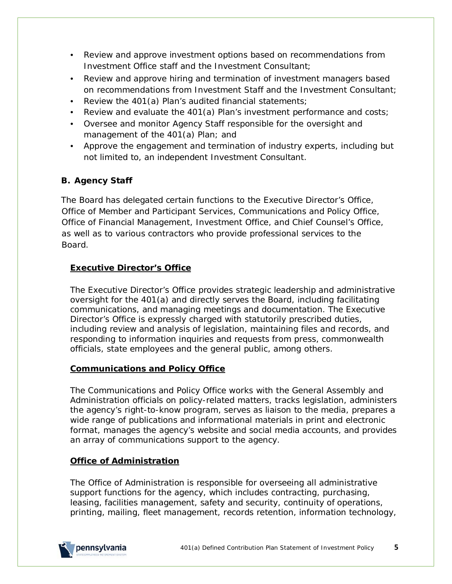- Review and approve investment options based on recommendations from Investment Office staff and the Investment Consultant;
- Review and approve hiring and termination of investment managers based on recommendations from Investment Staff and the Investment Consultant;
- Review the 401(a) Plan's audited financial statements;
- Review and evaluate the 401(a) Plan's investment performance and costs;
- Oversee and monitor Agency Staff responsible for the oversight and management of the 401(a) Plan; and
- Approve the engagement and termination of industry experts, including but not limited to, an independent Investment Consultant.

## **B. Agency Staff**

The Board has delegated certain functions to the Executive Director's Office, Office of Member and Participant Services, Communications and Policy Office, Office of Financial Management, Investment Office, and Chief Counsel's Office, as well as to various contractors who provide professional services to the Board.

#### **Executive Director's Office**

The Executive Director's Office provides strategic leadership and administrative oversight for the 401(a) and directly serves the Board, including facilitating communications, and managing meetings and documentation. The Executive Director's Office is expressly charged with statutorily prescribed duties, including review and analysis of legislation, maintaining files and records, and responding to information inquiries and requests from press, commonwealth officials, state employees and the general public, among others.

#### **Communications and Policy Office**

The Communications and Policy Office works with the General Assembly and Administration officials on policy-related matters, tracks legislation, administers the agency's right-to-know program, serves as liaison to the media, prepares a wide range of publications and informational materials in print and electronic format, manages the agency's website and social media accounts, and provides an array of communications support to the agency.

#### **Office of Administration**

The Office of Administration is responsible for overseeing all administrative support functions for the agency, which includes contracting, purchasing, leasing, facilities management, safety and security, continuity of operations, printing, mailing, fleet management, records retention, information technology,

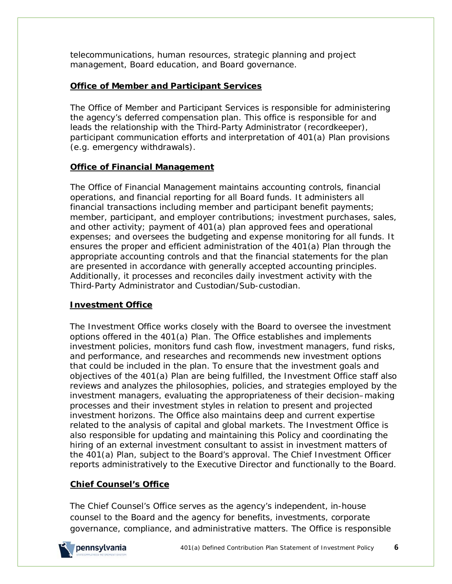telecommunications, human resources, strategic planning and project management, Board education, and Board governance.

#### **Office of Member and Participant Services**

The Office of Member and Participant Services is responsible for administering the agency's deferred compensation plan. This office is responsible for and leads the relationship with the Third-Party Administrator (recordkeeper), participant communication efforts and interpretation of 401(a) Plan provisions (*e.g.* emergency withdrawals).

#### **Office of Financial Management**

The Office of Financial Management maintains accounting controls, financial operations, and financial reporting for all Board funds. It administers all financial transactions including member and participant benefit payments; member, participant, and employer contributions; investment purchases, sales, and other activity; payment of 401(a) plan approved fees and operational expenses; and oversees the budgeting and expense monitoring for all funds. It ensures the proper and efficient administration of the 401(a) Plan through the appropriate accounting controls and that the financial statements for the plan are presented in accordance with generally accepted accounting principles. Additionally, it processes and reconciles daily investment activity with the Third-Party Administrator and Custodian/Sub-custodian.

#### **Investment Office**

The Investment Office works closely with the Board to oversee the investment options offered in the 401(a) Plan. The Office establishes and implements investment policies, monitors fund cash flow, investment managers, fund risks, and performance, and researches and recommends new investment options that could be included in the plan. To ensure that the investment goals and objectives of the 401(a) Plan are being fulfilled, the Investment Office staff also reviews and analyzes the philosophies, policies, and strategies employed by the investment managers, evaluating the appropriateness of their decision–making processes and their investment styles in relation to present and projected investment horizons. The Office also maintains deep and current expertise related to the analysis of capital and global markets. The Investment Office is also responsible for updating and maintaining this Policy and coordinating the hiring of an external investment consultant to assist in investment matters of the 401(a) Plan, subject to the Board's approval. The Chief Investment Officer reports administratively to the Executive Director and functionally to the Board.

## **Chief Counsel's Office**

The Chief Counsel's Office serves as the agency's independent, in-house counsel to the Board and the agency for benefits, investments, corporate governance, compliance, and administrative matters. The Office is responsible

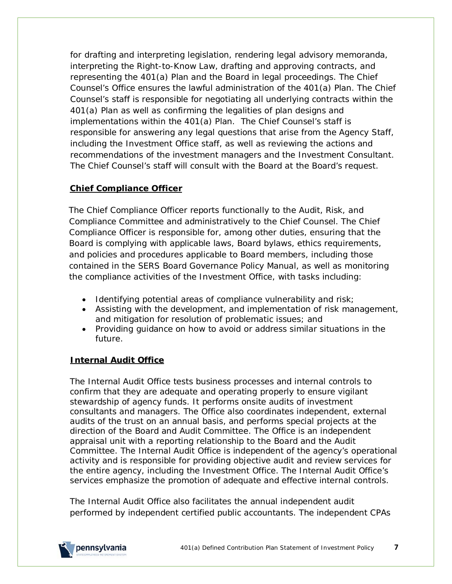for drafting and interpreting legislation, rendering legal advisory memoranda, interpreting the Right-to-Know Law, drafting and approving contracts, and representing the 401(a) Plan and the Board in legal proceedings. The Chief Counsel's Office ensures the lawful administration of the 401(a) Plan. The Chief Counsel's staff is responsible for negotiating all underlying contracts within the 401(a) Plan as well as confirming the legalities of plan designs and implementations within the 401(a) Plan. The Chief Counsel's staff is responsible for answering any legal questions that arise from the Agency Staff, including the Investment Office staff, as well as reviewing the actions and recommendations of the investment managers and the Investment Consultant. The Chief Counsel's staff will consult with the Board at the Board's request.

#### **Chief Compliance Officer**

The Chief Compliance Officer reports functionally to the Audit, Risk, and Compliance Committee and administratively to the Chief Counsel. The Chief Compliance Officer is responsible for, among other duties, ensuring that the Board is complying with applicable laws, Board bylaws, ethics requirements, and policies and procedures applicable to Board members, including those contained in the *SERS Board Governance Policy Manual*, as well as monitoring the compliance activities of the Investment Office, with tasks including:

- Identifying potential areas of compliance vulnerability and risk;
- Assisting with the development, and implementation of risk management, and mitigation for resolution of problematic issues; and
- Providing guidance on how to avoid or address similar situations in the future.

## **Internal Audit Office**

The Internal Audit Office tests business processes and internal controls to confirm that they are adequate and operating properly to ensure vigilant stewardship of agency funds. It performs onsite audits of investment consultants and managers. The Office also coordinates independent, external audits of the trust on an annual basis, and performs special projects at the direction of the Board and Audit Committee. The Office is an independent appraisal unit with a reporting relationship to the Board and the Audit Committee. The Internal Audit Office is independent of the agency's operational activity and is responsible for providing objective audit and review services for the entire agency, including the Investment Office. The Internal Audit Office's services emphasize the promotion of adequate and effective internal controls.

The Internal Audit Office also facilitates the annual independent audit performed by independent certified public accountants. The independent CPAs

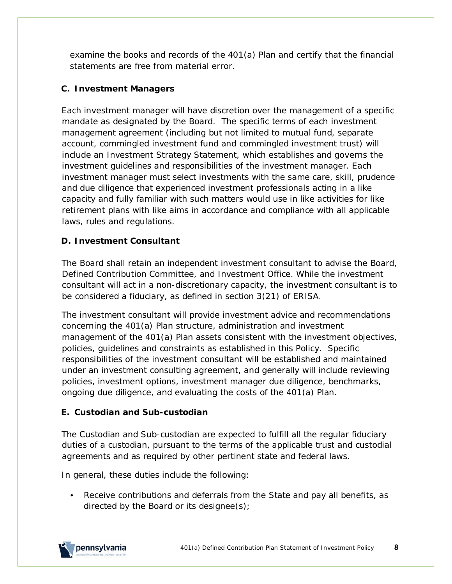examine the books and records of the 401(a) Plan and certify that the financial statements are free from material error.

#### **C. Investment Managers**

Each investment manager will have discretion over the management of a specific mandate as designated by the Board. The specific terms of each investment management agreement (including but not limited to mutual fund, separate account, commingled investment fund and commingled investment trust) will include an Investment Strategy Statement, which establishes and governs the investment guidelines and responsibilities of the investment manager. Each investment manager must select investments with the same care, skill, prudence and due diligence that experienced investment professionals acting in a like capacity and fully familiar with such matters would use in like activities for like retirement plans with like aims in accordance and compliance with all applicable laws, rules and regulations.

## **D. Investment Consultant**

The Board shall retain an independent investment consultant to advise the Board, Defined Contribution Committee, and Investment Office. While the investment consultant will act in a non-discretionary capacity, the investment consultant is to be considered a fiduciary, as defined in section 3(21) of ERISA.

The investment consultant will provide investment advice and recommendations concerning the 401(a) Plan structure, administration and investment management of the 401(a) Plan assets consistent with the investment objectives, policies, guidelines and constraints as established in this Policy. Specific responsibilities of the investment consultant will be established and maintained under an investment consulting agreement, and generally will include reviewing policies, investment options, investment manager due diligence, benchmarks, ongoing due diligence, and evaluating the costs of the 401(a) Plan.

#### **E. Custodian and Sub-custodian**

The Custodian and Sub-custodian are expected to fulfill all the regular fiduciary duties of a custodian, pursuant to the terms of the applicable trust and custodial agreements and as required by other pertinent state and federal laws.

In general, these duties include the following:

• Receive contributions and deferrals from the State and pay all benefits, as directed by the Board or its designee(s);

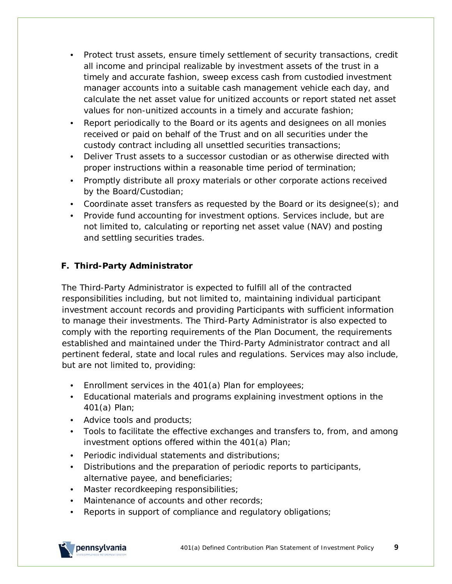- Protect trust assets, ensure timely settlement of security transactions, credit all income and principal realizable by investment assets of the trust in a timely and accurate fashion, sweep excess cash from custodied investment manager accounts into a suitable cash management vehicle each day, and calculate the net asset value for unitized accounts or report stated net asset values for non-unitized accounts in a timely and accurate fashion;
- Report periodically to the Board or its agents and designees on all monies received or paid on behalf of the Trust and on all securities under the custody contract including all unsettled securities transactions;
- Deliver Trust assets to a successor custodian or as otherwise directed with proper instructions within a reasonable time period of termination;
- Promptly distribute all proxy materials or other corporate actions received by the Board/Custodian;
- Coordinate asset transfers as requested by the Board or its designee(s); and
- Provide fund accounting for investment options. Services include, but are not limited to, calculating or reporting net asset value (NAV) and posting and settling securities trades.

## **F. Third-Party Administrator**

The Third-Party Administrator is expected to fulfill all of the contracted responsibilities including, but not limited to, maintaining individual participant investment account records and providing Participants with sufficient information to manage their investments. The Third-Party Administrator is also expected to comply with the reporting requirements of the Plan Document, the requirements established and maintained under the Third-Party Administrator contract and all pertinent federal, state and local rules and regulations. Services may also include, but are not limited to, providing:

- Enrollment services in the 401(a) Plan for employees;
- Educational materials and programs explaining investment options in the 401(a) Plan;
- Advice tools and products;
- Tools to facilitate the effective exchanges and transfers to, from, and among investment options offered within the 401(a) Plan;
- Periodic individual statements and distributions;
- Distributions and the preparation of periodic reports to participants, alternative payee, and beneficiaries;
- Master recordkeeping responsibilities;
- Maintenance of accounts and other records;
- Reports in support of compliance and regulatory obligations;

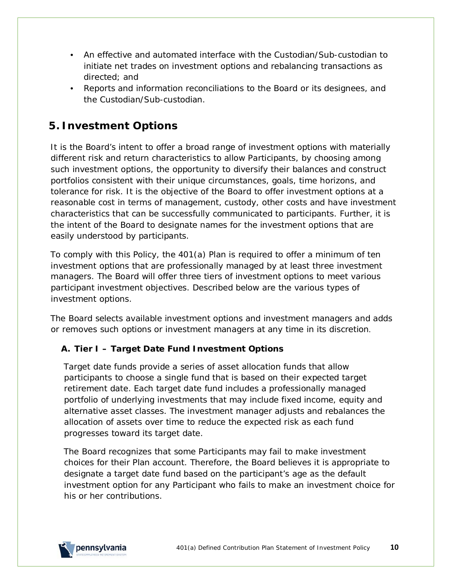- An effective and automated interface with the Custodian/Sub-custodian to initiate net trades on investment options and rebalancing transactions as directed; and
- Reports and information reconciliations to the Board or its designees, and the Custodian/Sub-custodian.

# <span id="page-9-0"></span>**5. Investment Options**

It is the Board's intent to offer a broad range of investment options with materially different risk and return characteristics to allow Participants, by choosing among such investment options, the opportunity to diversify their balances and construct portfolios consistent with their unique circumstances, goals, time horizons, and tolerance for risk. It is the objective of the Board to offer investment options at a reasonable cost in terms of management, custody, other costs and have investment characteristics that can be successfully communicated to participants. Further, it is the intent of the Board to designate names for the investment options that are easily understood by participants.

To comply with this Policy, the 401(a) Plan is required to offer a minimum of ten investment options that are professionally managed by at least three investment managers. The Board will offer three tiers of investment options to meet various participant investment objectives. Described below are the various types of investment options.

The Board selects available investment options and investment managers and adds or removes such options or investment managers at any time in its discretion.

## **A. Tier I – Target Date Fund Investment Options**

Target date funds provide a series of asset allocation funds that allow participants to choose a single fund that is based on their expected target retirement date. Each target date fund includes a professionally managed portfolio of underlying investments that may include fixed income, equity and alternative asset classes. The investment manager adjusts and rebalances the allocation of assets over time to reduce the expected risk as each fund progresses toward its target date.

The Board recognizes that some Participants may fail to make investment choices for their Plan account. Therefore, the Board believes it is appropriate to designate a target date fund based on the participant's age as the default investment option for any Participant who fails to make an investment choice for his or her contributions.

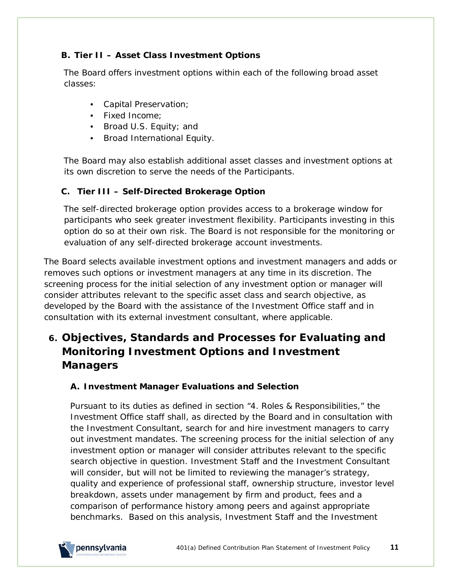#### **B. Tier II – Asset Class Investment Options**

The Board offers investment options within each of the following broad asset classes:

- Capital Preservation;
- Fixed Income;
- Broad U.S. Equity; and
- Broad International Equity.

The Board may also establish additional asset classes and investment options at its own discretion to serve the needs of the Participants.

#### **C. Tier III – Self-Directed Brokerage Option**

The self-directed brokerage option provides access to a brokerage window for participants who seek greater investment flexibility. Participants investing in this option do so at their own risk. The Board is not responsible for the monitoring or evaluation of any self-directed brokerage account investments.

The Board selects available investment options and investment managers and adds or removes such options or investment managers at any time in its discretion. The screening process for the initial selection of any investment option or manager will consider attributes relevant to the specific asset class and search objective, as developed by the Board with the assistance of the Investment Office staff and in consultation with its external investment consultant, where applicable.

# <span id="page-10-0"></span>**6. Objectives, Standards and Processes for Evaluating and Monitoring Investment Options and Investment Managers**

## **A. Investment Manager Evaluations and Selection**

Pursuant to its duties as defined in section "4. Roles & Responsibilities," the Investment Office staff shall, as directed by the Board and in consultation with the Investment Consultant, search for and hire investment managers to carry out investment mandates. The screening process for the initial selection of any investment option or manager will consider attributes relevant to the specific search objective in question. Investment Staff and the Investment Consultant will consider, but will not be limited to reviewing the manager's strategy, quality and experience of professional staff, ownership structure, investor level breakdown, assets under management by firm and product, fees and a comparison of performance history among peers and against appropriate benchmarks. Based on this analysis, Investment Staff and the Investment

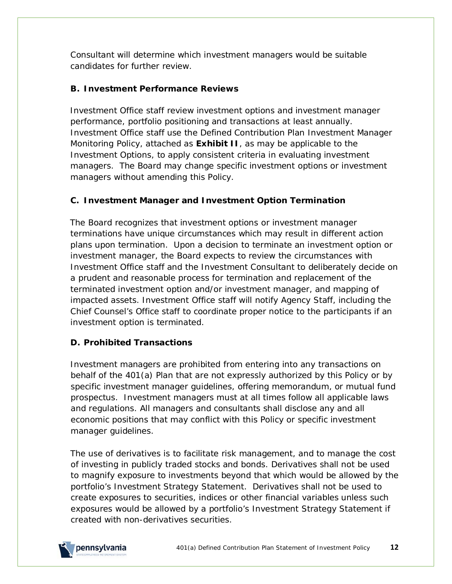Consultant will determine which investment managers would be suitable candidates for further review.

## **B. Investment Performance Reviews**

Investment Office staff review investment options and investment manager performance, portfolio positioning and transactions at least annually. Investment Office staff use the Defined Contribution Plan Investment Manager Monitoring Policy, attached as **Exhibit II**, as may be applicable to the Investment Options, to apply consistent criteria in evaluating investment managers. The Board may change specific investment options or investment managers without amending this Policy.

## **C. Investment Manager and Investment Option Termination**

The Board recognizes that investment options or investment manager terminations have unique circumstances which may result in different action plans upon termination. Upon a decision to terminate an investment option or investment manager, the Board expects to review the circumstances with Investment Office staff and the Investment Consultant to deliberately decide on a prudent and reasonable process for termination and replacement of the terminated investment option and/or investment manager, and mapping of impacted assets. Investment Office staff will notify Agency Staff, including the Chief Counsel's Office staff to coordinate proper notice to the participants if an investment option is terminated.

## **D. Prohibited Transactions**

Investment managers are prohibited from entering into any transactions on behalf of the 401(a) Plan that are not expressly authorized by this Policy or by specific investment manager guidelines, offering memorandum, or mutual fund prospectus. Investment managers must at all times follow all applicable laws and regulations. All managers and consultants shall disclose any and all economic positions that may conflict with this Policy or specific investment manager guidelines.

The use of derivatives is to facilitate risk management, and to manage the cost of investing in publicly traded stocks and bonds. Derivatives shall not be used to magnify exposure to investments beyond that which would be allowed by the portfolio's Investment Strategy Statement. Derivatives shall not be used to create exposures to securities, indices or other financial variables unless such exposures would be allowed by a portfolio's Investment Strategy Statement if created with non-derivatives securities.

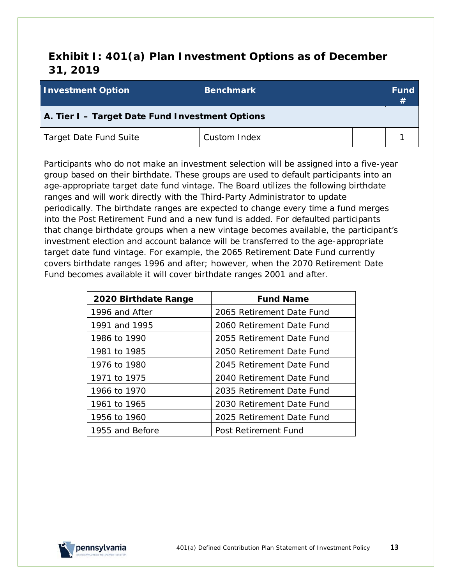# <span id="page-12-0"></span>**Exhibit I: 401(a) Plan Investment Options as of December 31, 2019**

| <b>Investment Option</b>                        | <b>Benchmark</b> |  | <b>Fund</b><br>#1 |  |
|-------------------------------------------------|------------------|--|-------------------|--|
| A. Tier I - Target Date Fund Investment Options |                  |  |                   |  |
| Target Date Fund Suite                          | Custom Index     |  |                   |  |

Participants who do not make an investment selection will be assigned into a five-year group based on their birthdate. These groups are used to default participants into an age-appropriate target date fund vintage. The Board utilizes the following birthdate ranges and will work directly with the Third-Party Administrator to update periodically. The birthdate ranges are expected to change every time a fund merges into the Post Retirement Fund and a new fund is added. For defaulted participants that change birthdate groups when a new vintage becomes available, the participant's investment election and account balance will be transferred to the age-appropriate target date fund vintage. For example, the 2065 Retirement Date Fund currently covers birthdate ranges 1996 and after; however, when the 2070 Retirement Date Fund becomes available it will cover birthdate ranges 2001 and after.

| 2020 Birthdate Range | <b>Fund Name</b>          |
|----------------------|---------------------------|
| 1996 and After       | 2065 Retirement Date Fund |
| 1991 and 1995        | 2060 Retirement Date Fund |
| 1986 to 1990         | 2055 Retirement Date Fund |
| 1981 to 1985         | 2050 Retirement Date Fund |
| 1976 to 1980         | 2045 Retirement Date Fund |
| 1971 to 1975         | 2040 Retirement Date Fund |
| 1966 to 1970         | 2035 Retirement Date Fund |
| 1961 to 1965         | 2030 Retirement Date Fund |
| 1956 to 1960         | 2025 Retirement Date Fund |
| 1955 and Before      | Post Retirement Fund      |

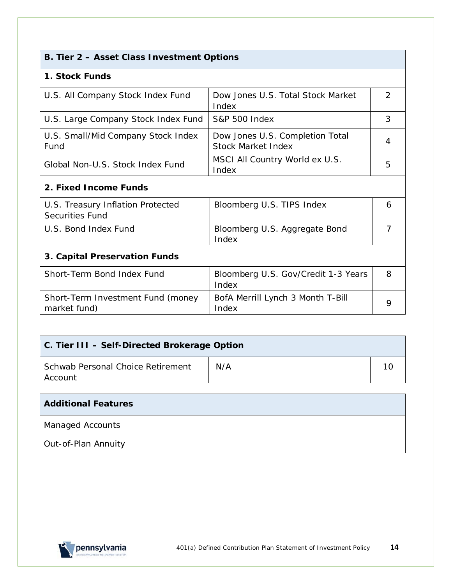|  |  |  |  |  | B. Tier 2 - Asset Class Investment Options |  |
|--|--|--|--|--|--------------------------------------------|--|
|--|--|--|--|--|--------------------------------------------|--|

#### **1. Stock Funds**

| U.S. All Company Stock Index Fund          | Dow Jones U.S. Total Stock Market<br>Index                   |   |
|--------------------------------------------|--------------------------------------------------------------|---|
| U.S. Large Company Stock Index Fund        | <b>S&amp;P 500 Index</b>                                     | 3 |
| U.S. Small/Mid Company Stock Index<br>Fund | Dow Jones U.S. Completion Total<br><b>Stock Market Index</b> |   |
| Global Non-U.S. Stock Index Fund           | MSCI All Country World ex U.S.<br>Index                      | 5 |

# **2. Fixed Income Funds**

| U.S. Treasury Inflation Protected<br><b>Securities Fund</b> | Bloomberg U.S. TIPS Index              | <sub>6</sub> |
|-------------------------------------------------------------|----------------------------------------|--------------|
| U.S. Bond Index Fund                                        | Bloomberg U.S. Aggregate Bond<br>Index |              |

# **3. Capital Preservation Funds**

| Short-Term Bond Index Fund                        | Bloomberg U.S. Gov/Credit 1-3 Years        | 8 |
|---------------------------------------------------|--------------------------------------------|---|
|                                                   | Index                                      |   |
| Short-Term Investment Fund (money<br>market fund) | BofA Merrill Lynch 3 Month T-Bill<br>Index |   |

| C. Tier III - Self-Directed Brokerage Option |     |  |  |  |
|----------------------------------------------|-----|--|--|--|
| Schwab Personal Choice Retirement<br>Account | N/A |  |  |  |

| <b>Additional Features</b> |  |
|----------------------------|--|
| <b>Managed Accounts</b>    |  |
| Out-of-Plan Annuity        |  |

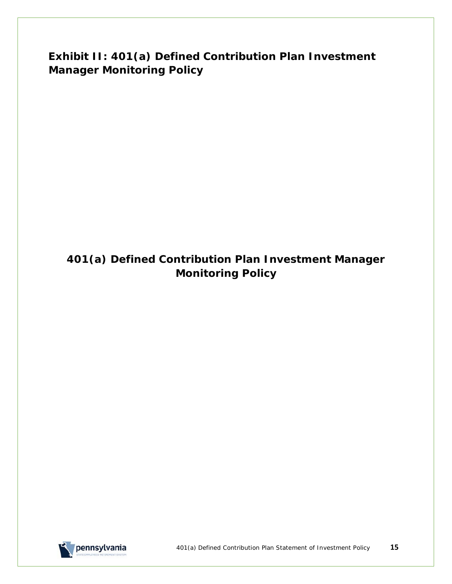<span id="page-14-0"></span>**Exhibit II: 401(a) Defined Contribution Plan Investment Manager Monitoring Policy**

# **401(a) Defined Contribution Plan Investment Manager Monitoring Policy**

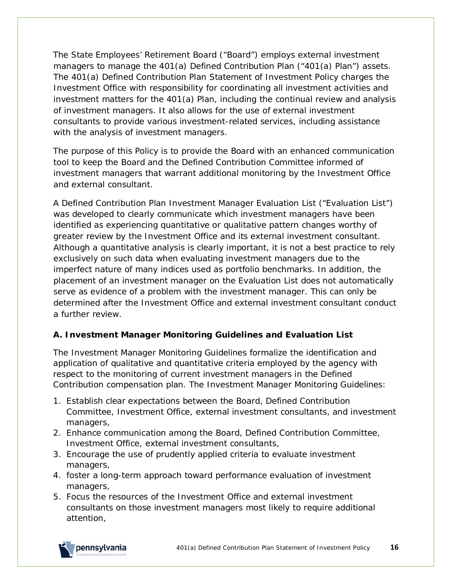The State Employees' Retirement Board ("Board") employs external investment managers to manage the 401(a) Defined Contribution Plan ("401(a) Plan") assets. The 401(a) Defined Contribution Plan Statement of Investment Policy charges the Investment Office with responsibility for coordinating all investment activities and investment matters for the 401(a) Plan, including the continual review and analysis of investment managers. It also allows for the use of external investment consultants to provide various investment-related services, including assistance with the analysis of investment managers.

The purpose of this Policy is to provide the Board with an enhanced communication tool to keep the Board and the Defined Contribution Committee informed of investment managers that warrant additional monitoring by the Investment Office and external consultant.

A Defined Contribution Plan Investment Manager Evaluation List ("Evaluation List") was developed to clearly communicate which investment managers have been identified as experiencing quantitative or qualitative pattern changes worthy of greater review by the Investment Office and its external investment consultant. Although a quantitative analysis is clearly important, it is not a best practice to rely exclusively on such data when evaluating investment managers due to the imperfect nature of many indices used as portfolio benchmarks. In addition, the placement of an investment manager on the Evaluation List does not automatically serve as evidence of a problem with the investment manager. This can only be determined after the Investment Office and external investment consultant conduct a further review.

## **A. Investment Manager Monitoring Guidelines and Evaluation List**

The Investment Manager Monitoring Guidelines formalize the identification and application of qualitative and quantitative criteria employed by the agency with respect to the monitoring of current investment managers in the Defined Contribution compensation plan. The Investment Manager Monitoring Guidelines:

- 1. Establish clear expectations between the Board, Defined Contribution Committee, Investment Office, external investment consultants, and investment managers,
- 2. Enhance communication among the Board, Defined Contribution Committee, Investment Office, external investment consultants,
- 3. Encourage the use of prudently applied criteria to evaluate investment managers,
- 4. foster a long-term approach toward performance evaluation of investment managers,
- 5. Focus the resources of the Investment Office and external investment consultants on those investment managers most likely to require additional attention,

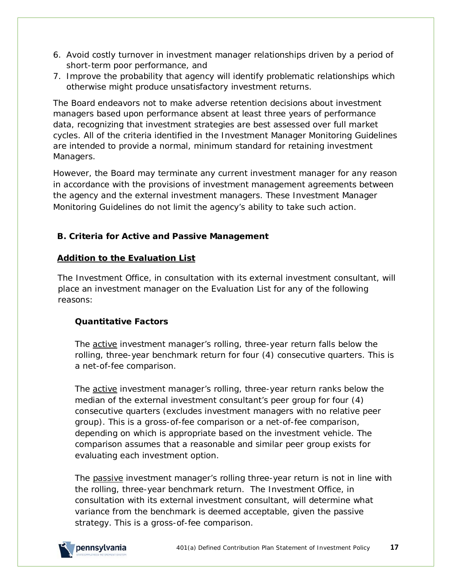- 6. Avoid costly turnover in investment manager relationships driven by a period of short-term poor performance, and
- 7. Improve the probability that agency will identify problematic relationships which otherwise might produce unsatisfactory investment returns.

The Board endeavors not to make adverse retention decisions about investment managers based upon performance absent at least three years of performance data, recognizing that investment strategies are best assessed over full market cycles. All of the criteria identified in the Investment Manager Monitoring Guidelines are intended to provide a normal, minimum standard for retaining investment Managers.

However, the Board may terminate any current investment manager for any reason in accordance with the provisions of investment management agreements between the agency and the external investment managers. These Investment Manager Monitoring Guidelines do not limit the agency's ability to take such action.

#### **B. Criteria for Active and Passive Management**

#### **Addition to the Evaluation List**

The Investment Office, in consultation with its external investment consultant, will place an investment manager on the Evaluation List for any of the following reasons:

#### **Quantitative Factors**

The active investment manager's rolling, three-year return falls below the rolling, three-year benchmark return for four (4) consecutive quarters. This is a net-of-fee comparison.

The active investment manager's rolling, three-year return ranks below the median of the external investment consultant's peer group for four (4) consecutive quarters (excludes investment managers with no relative peer group). This is a gross-of-fee comparison or a net-of-fee comparison, depending on which is appropriate based on the investment vehicle. The comparison assumes that a reasonable and similar peer group exists for evaluating each investment option.

The passive investment manager's rolling three-year return is not in line with the rolling, three-year benchmark return. The Investment Office, in consultation with its external investment consultant, will determine what variance from the benchmark is deemed acceptable, given the passive strategy. This is a gross-of-fee comparison.

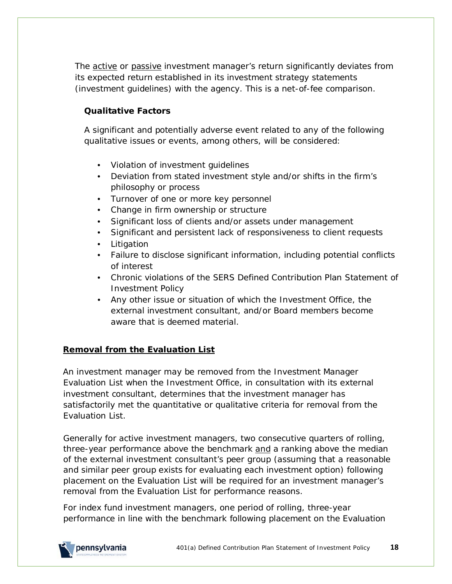The active or passive investment manager's return significantly deviates from its expected return established in its investment strategy statements (investment guidelines) with the agency. This is a net-of-fee comparison.

#### **Qualitative Factors**

A significant and potentially adverse event related to any of the following qualitative issues or events, among others, will be considered:

- Violation of investment guidelines
- Deviation from stated investment style and/or shifts in the firm's philosophy or process
- Turnover of one or more key personnel
- Change in firm ownership or structure
- Significant loss of clients and/or assets under management
- Significant and persistent lack of responsiveness to client requests
- Litigation
- Failure to disclose significant information, including potential conflicts of interest
- Chronic violations of the SERS Defined Contribution Plan Statement of Investment Policy
- Any other issue or situation of which the Investment Office, the external investment consultant, and/or Board members become aware that is deemed material.

#### **Removal from the Evaluation List**

An investment manager may be removed from the Investment Manager Evaluation List when the Investment Office, in consultation with its external investment consultant, determines that the investment manager has satisfactorily met the quantitative or qualitative criteria for removal from the Evaluation List.

Generally for active investment managers, two consecutive quarters of rolling, three-year performance above the benchmark and a ranking above the median of the external investment consultant's peer group (assuming that a reasonable and similar peer group exists for evaluating each investment option) following placement on the Evaluation List will be required for an investment manager's removal from the Evaluation List for performance reasons.

For index fund investment managers, one period of rolling, three-year performance in line with the benchmark following placement on the Evaluation

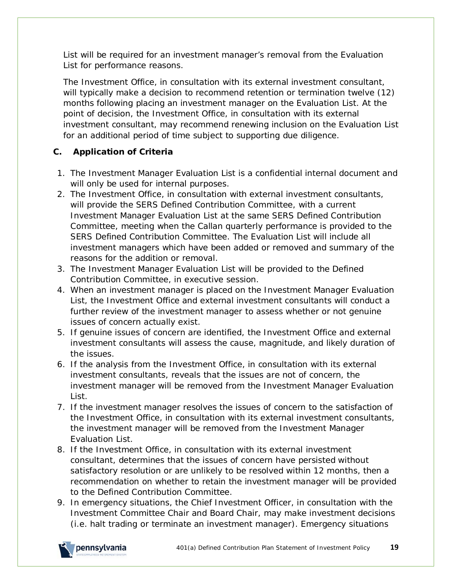List will be required for an investment manager's removal from the Evaluation List for performance reasons.

The Investment Office, in consultation with its external investment consultant, will typically make a decision to recommend retention or termination twelve (12) months following placing an investment manager on the Evaluation List. At the point of decision, the Investment Office, in consultation with its external investment consultant, may recommend renewing inclusion on the Evaluation List for an additional period of time subject to supporting due diligence.

#### **C. Application of Criteria**

- 1. The Investment Manager Evaluation List is a confidential internal document and will only be used for internal purposes.
- 2. The Investment Office, in consultation with external investment consultants, will provide the SERS Defined Contribution Committee, with a current Investment Manager Evaluation List at the same SERS Defined Contribution Committee, meeting when the Callan quarterly performance is provided to the SERS Defined Contribution Committee. The Evaluation List will include all investment managers which have been added or removed and summary of the reasons for the addition or removal.
- 3. The Investment Manager Evaluation List will be provided to the Defined Contribution Committee, in executive session.
- 4. When an investment manager is placed on the Investment Manager Evaluation List, the Investment Office and external investment consultants will conduct a further review of the investment manager to assess whether or not genuine issues of concern actually exist.
- 5. If genuine issues of concern are identified, the Investment Office and external investment consultants will assess the cause, magnitude, and likely duration of the issues.
- 6. If the analysis from the Investment Office, in consultation with its external investment consultants, reveals that the issues are not of concern, the investment manager will be removed from the Investment Manager Evaluation List.
- 7. If the investment manager resolves the issues of concern to the satisfaction of the Investment Office, in consultation with its external investment consultants, the investment manager will be removed from the Investment Manager Evaluation List.
- 8. If the Investment Office, in consultation with its external investment consultant, determines that the issues of concern have persisted without satisfactory resolution or are unlikely to be resolved within 12 months, then a recommendation on whether to retain the investment manager will be provided to the Defined Contribution Committee.
- 9. In emergency situations, the Chief Investment Officer, in consultation with the Investment Committee Chair and Board Chair, may make investment decisions (*i.e.* halt trading or terminate an investment manager). Emergency situations